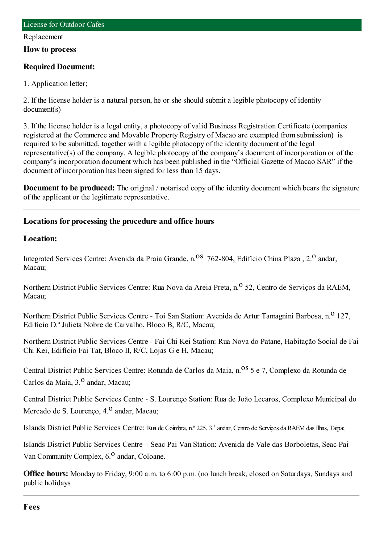#### Replacement

**How to process**

## **Required Document:**

1. Application letter;

2. If the license holder is a natural person, he or she should submit a legible photocopy of identity document(s)

3. If the license holder is a legal entity, a photocopy of valid Business Registration Certificate (companies registered at the Commerce and Movable Property Registry of Macao are exempted fromsubmission) is required to be submitted, together with a legible photocopy of the identity document of the legal representative(s) of the company. A legible photocopy of the company's document of incorporation or of the company's incorporation document which has been published in the "Official Gazette of Macao SAR" if the document of incorporation has been signed for less than 15 days.

**Document to be produced:** The original / notarised copy of the identity document which bears the signature of the applicant or the legitimate representative.

# **Locations for processing the procedure and office hours**

## **Location:**

Integrated Services Centre: Avenida da Praia Grande, n.<sup>08</sup> 762-804, Edifício China Plaza, 2.<sup>0</sup> andar, Macau;

Northern District Public Services Centre: Rua Nova da Areia Preta, n.<sup>o</sup> 52, Centro de Servicos da RAEM, Macau;

Northern District Public Services Centre - Toi San Station: Avenida de Artur Tamagnini Barbosa, n.<sup>0</sup> 127, Edifício D.ª Julieta Nobre de Carvalho, Bloco B, R/C, Macau;

Northern District Public Services Centre - Fai Chi Kei Station: Rua Nova do Patane, Habitação Social de Fai Chi Kei, Edifício Fai Tat, Bloco II, R/C, Lojas G e H, Macau;

Central District Public Services Centre: Rotunda de Carlos da Maia, n.<sup>08</sup> 5 e 7, Complexo da Rotunda de Carlos da Maia, 3.<sup>0</sup> andar, Macau;

Central District Public Services Centre - S. Lourenço Station: Rua de João Lecaros, Complexo Municipal do Mercado de S. Lourenço, 4.<sup>0</sup> andar, Macau;

Islands District Public Services Centre: Rua de Coimbra, n.º 225, 3.˚andar, Centro de Serviços da RAEMdas Ilhas, Taipa;

Islands District Public Services Centre – Seac Pai Van Station: Avenida de Vale das Borboletas, Seac Pai Van Community Complex,  $6<sup>0</sup>$  andar, Coloane.

**Office hours:** Monday to Friday, 9:00 a.m. to 6:00 p.m. (no lunch break, closed on Saturdays, Sundays and public holidays